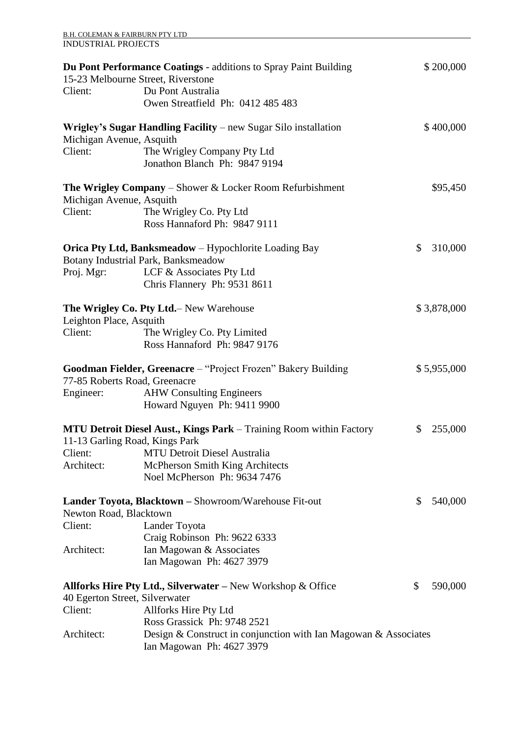| <b>B.H. COLEMAN &amp; FAIRBURN PTY LTD</b>                                                                   |                                                                                              |    |             |
|--------------------------------------------------------------------------------------------------------------|----------------------------------------------------------------------------------------------|----|-------------|
| <b>INDUSTRIAL PROJECTS</b>                                                                                   |                                                                                              |    |             |
| 15-23 Melbourne Street, Riverstone                                                                           | <b>Du Pont Performance Coatings - additions to Spray Paint Building</b>                      |    | \$200,000   |
| Client:                                                                                                      | Du Pont Australia                                                                            |    |             |
|                                                                                                              | Owen Streatfield Ph: 0412 485 483                                                            |    |             |
| Wrigley's Sugar Handling Facility – new Sugar Silo installation<br>Michigan Avenue, Asquith                  |                                                                                              |    | \$400,000   |
| Client:                                                                                                      |                                                                                              |    |             |
|                                                                                                              | The Wrigley Company Pty Ltd<br>Jonathon Blanch Ph: 9847 9194                                 |    |             |
| <b>The Wrigley Company</b> – Shower $\&$ Locker Room Refurbishment<br>Michigan Avenue, Asquith               |                                                                                              |    | \$95,450    |
| Client:                                                                                                      | The Wrigley Co. Pty Ltd                                                                      |    |             |
|                                                                                                              | Ross Hannaford Ph: 9847 9111                                                                 |    |             |
|                                                                                                              | Orica Pty Ltd, Banksmeadow - Hypochlorite Loading Bay                                        | \$ | 310,000     |
|                                                                                                              | Botany Industrial Park, Banksmeadow                                                          |    |             |
| Proj. Mgr:                                                                                                   | LCF & Associates Pty Ltd                                                                     |    |             |
|                                                                                                              | Chris Flannery Ph: 9531 8611                                                                 |    |             |
| The Wrigley Co. Pty Ltd. – New Warehouse<br>Leighton Place, Asquith                                          |                                                                                              |    | \$3,878,000 |
| Client:                                                                                                      | The Wrigley Co. Pty Limited                                                                  |    |             |
|                                                                                                              | Ross Hannaford Ph: 9847 9176                                                                 |    |             |
| Goodman Fielder, Greenacre – "Project Frozen" Bakery Building<br>77-85 Roberts Road, Greenacre               |                                                                                              |    | \$5,955,000 |
| Engineer:                                                                                                    | <b>AHW</b> Consulting Engineers                                                              |    |             |
|                                                                                                              | Howard Nguyen Ph: 9411 9900                                                                  |    |             |
|                                                                                                              |                                                                                              |    |             |
| <b>MTU Detroit Diesel Aust., Kings Park</b> – Training Room within Factory<br>11-13 Garling Road, Kings Park |                                                                                              | \$ | 255,000     |
| Client:                                                                                                      | <b>MTU Detroit Diesel Australia</b>                                                          |    |             |
| Architect:                                                                                                   | McPherson Smith King Architects                                                              |    |             |
|                                                                                                              | Noel McPherson Ph: 9634 7476                                                                 |    |             |
| <b>Lander Toyota, Blacktown</b> – Showroom/Warehouse Fit-out<br>Newton Road, Blacktown                       |                                                                                              | \$ | 540,000     |
| Client:                                                                                                      | Lander Toyota                                                                                |    |             |
|                                                                                                              | Craig Robinson Ph: 9622 6333                                                                 |    |             |
| Architect:                                                                                                   | Ian Magowan & Associates                                                                     |    |             |
|                                                                                                              | Ian Magowan Ph: 4627 3979                                                                    |    |             |
|                                                                                                              | <b>Allforks Hire Pty Ltd., Silverwater</b> – New Workshop & Office                           | \$ | 590,000     |
| 40 Egerton Street, Silverwater                                                                               |                                                                                              |    |             |
| Client:                                                                                                      | Allforks Hire Pty Ltd                                                                        |    |             |
|                                                                                                              | Ross Grassick Ph: 9748 2521                                                                  |    |             |
| Architect:                                                                                                   | Design & Construct in conjunction with Ian Magowan & Associates<br>Ian Magowan Ph: 4627 3979 |    |             |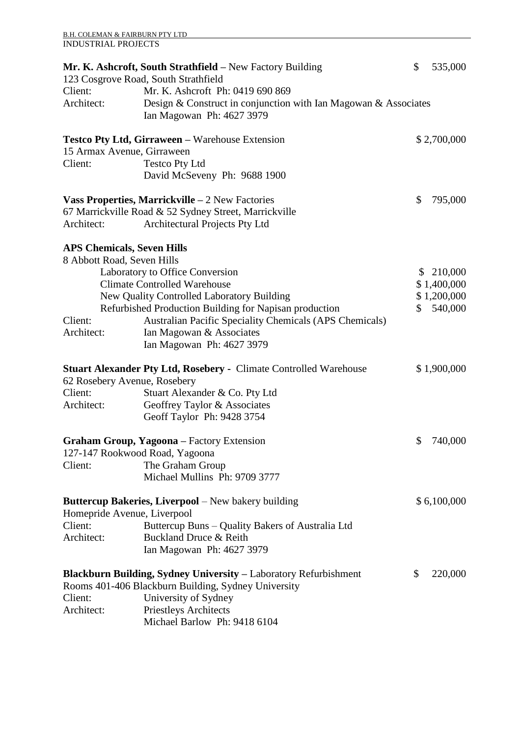|                       | Mr. K. Ashcroft, South Strathfield – New Factory Building<br>123 Cosgrove Road, South Strathfield | \$<br>535,000 |
|-----------------------|---------------------------------------------------------------------------------------------------|---------------|
| Client:               | Mr. K. Ashcroft Ph: 0419 690 869                                                                  |               |
| Architect:            | Design & Construct in conjunction with Ian Magowan & Associates<br>Ian Magowan Ph: 4627 3979      |               |
|                       | <b>Testco Pty Ltd, Girraween - Warehouse Extension</b>                                            | \$2,700,000   |
|                       | 15 Armax Avenue, Girraween                                                                        |               |
| Client:               | <b>Testco Pty Ltd</b><br>David McSeveny Ph: 9688 1900                                             |               |
|                       | <b>Vass Properties, Marrickville – 2 New Factories</b>                                            | \$<br>795,000 |
|                       | 67 Marrickville Road & 52 Sydney Street, Marrickville                                             |               |
| Architect:            | Architectural Projects Pty Ltd                                                                    |               |
|                       | <b>APS Chemicals, Seven Hills</b>                                                                 |               |
|                       | 8 Abbott Road, Seven Hills                                                                        |               |
|                       | Laboratory to Office Conversion                                                                   | \$<br>210,000 |
|                       | <b>Climate Controlled Warehouse</b>                                                               | \$1,400,000   |
|                       | New Quality Controlled Laboratory Building                                                        | \$1,200,000   |
|                       | Refurbished Production Building for Napisan production                                            | \$<br>540,000 |
| Client:<br>Architect: | <b>Australian Pacific Speciality Chemicals (APS Chemicals)</b>                                    |               |
|                       | Ian Magowan & Associates<br>Ian Magowan Ph: 4627 3979                                             |               |
|                       | <b>Stuart Alexander Pty Ltd, Rosebery - Climate Controlled Warehouse</b>                          | \$1,900,000   |
|                       | 62 Rosebery Avenue, Rosebery                                                                      |               |
| Client:               | Stuart Alexander & Co. Pty Ltd                                                                    |               |
| Architect:            | Geoffrey Taylor & Associates                                                                      |               |
|                       | Geoff Taylor Ph: 9428 3754                                                                        |               |
|                       | Graham Group, Yagoona - Factory Extension                                                         | \$<br>740,000 |
|                       | 127-147 Rookwood Road, Yagoona                                                                    |               |
| Client:               | The Graham Group<br>Michael Mullins Ph: 9709 3777                                                 |               |
|                       | <b>Buttercup Bakeries, Liverpool</b> – New bakery building                                        | \$6,100,000   |
| Client:               | Homepride Avenue, Liverpool<br>Buttercup Buns – Quality Bakers of Australia Ltd                   |               |
| Architect:            | Buckland Druce & Reith                                                                            |               |
|                       | Ian Magowan Ph: 4627 3979                                                                         |               |
|                       | <b>Blackburn Building, Sydney University – Laboratory Refurbishment</b>                           | \$<br>220,000 |
|                       | Rooms 401-406 Blackburn Building, Sydney University                                               |               |
| Client:               | University of Sydney                                                                              |               |
| Architect:            | <b>Priestleys Architects</b>                                                                      |               |
|                       | Michael Barlow Ph: 9418 6104                                                                      |               |